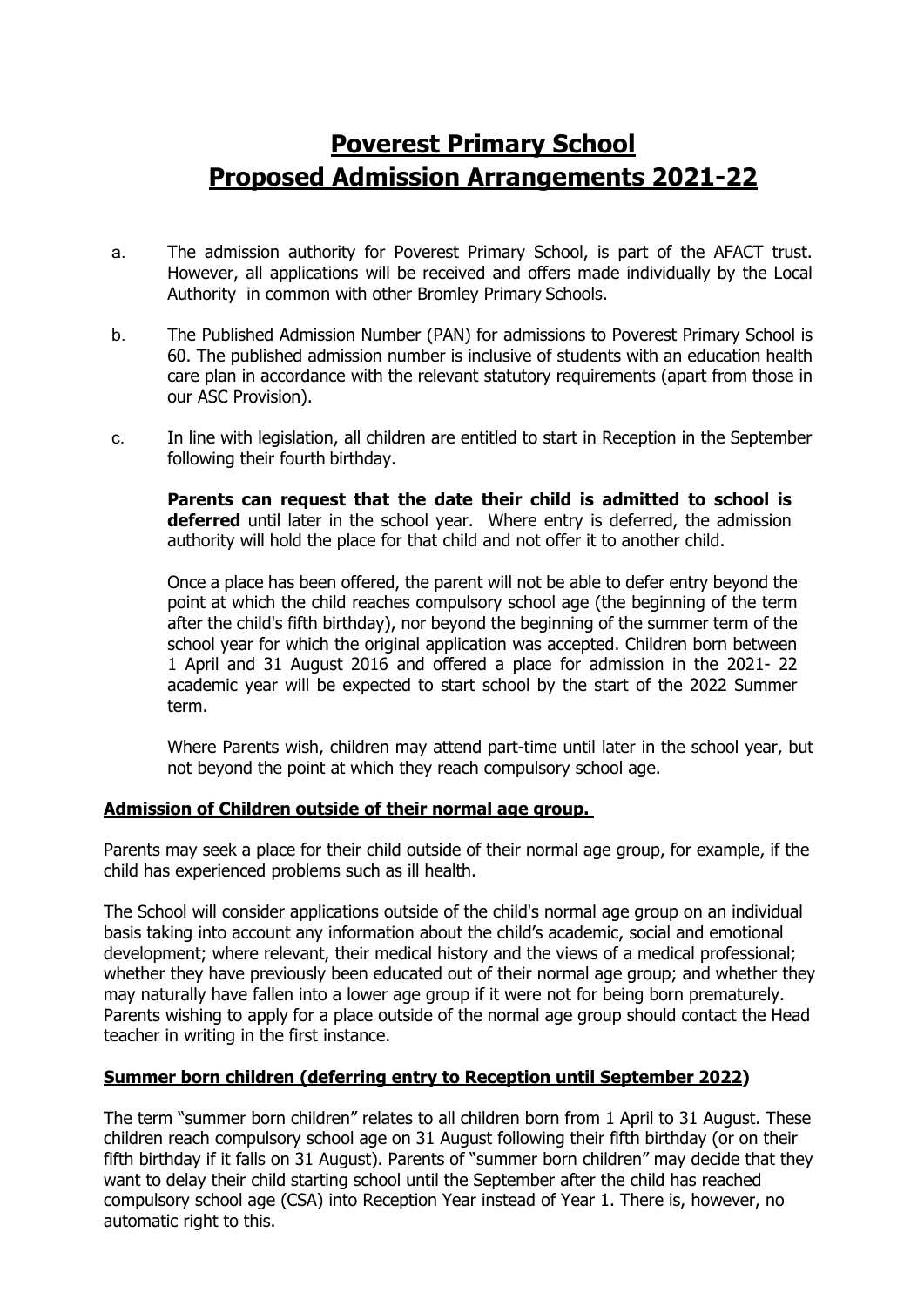# **Poverest Primary School Proposed Admission Arrangements 2021-22**

- a. The admission authority for Poverest Primary School, is part of the AFACT trust. However, all applications will be received and offers made individually by the Local Authority in common with other Bromley Primary Schools.
- b. The Published Admission Number (PAN) for admissions to Poverest Primary School is 60. The published admission number is inclusive of students with an education health care plan in accordance with the relevant statutory requirements (apart from those in our ASC Provision).
- c. In line with legislation, all children are entitled to start in Reception in the September following their fourth birthday.

**Parents can request that the date their child is admitted to school is deferred** until later in the school year. Where entry is deferred, the admission authority will hold the place for that child and not offer it to another child.

Once a place has been offered, the parent will not be able to defer entry beyond the point at which the child reaches compulsory school age (the beginning of the term after the child's fifth birthday), nor beyond the beginning of the summer term of the school year for which the original application was accepted. Children born between 1 April and 31 August 2016 and offered a place for admission in the 2021- 22 academic year will be expected to start school by the start of the 2022 Summer term.

Where Parents wish, children may attend part-time until later in the school year, but not beyond the point at which they reach compulsory school age.

# **Admission of Children outside of their normal age group.**

Parents may seek a place for their child outside of their normal age group, for example, if the child has experienced problems such as ill health.

The School will consider applications outside of the child's normal age group on an individual basis taking into account any information about the child's academic, social and emotional development; where relevant, their medical history and the views of a medical professional; whether they have previously been educated out of their normal age group; and whether they may naturally have fallen into a lower age group if it were not for being born prematurely. Parents wishing to apply for a place outside of the normal age group should contact the Head teacher in writing in the first instance.

# **Summer born children (deferring entry to Reception until September 2022)**

The term "summer born children" relates to all children born from 1 April to 31 August. These children reach compulsory school age on 31 August following their fifth birthday (or on their fifth birthday if it falls on 31 August). Parents of "summer born children" may decide that they want to delay their child starting school until the September after the child has reached compulsory school age (CSA) into Reception Year instead of Year 1. There is, however, no automatic right to this.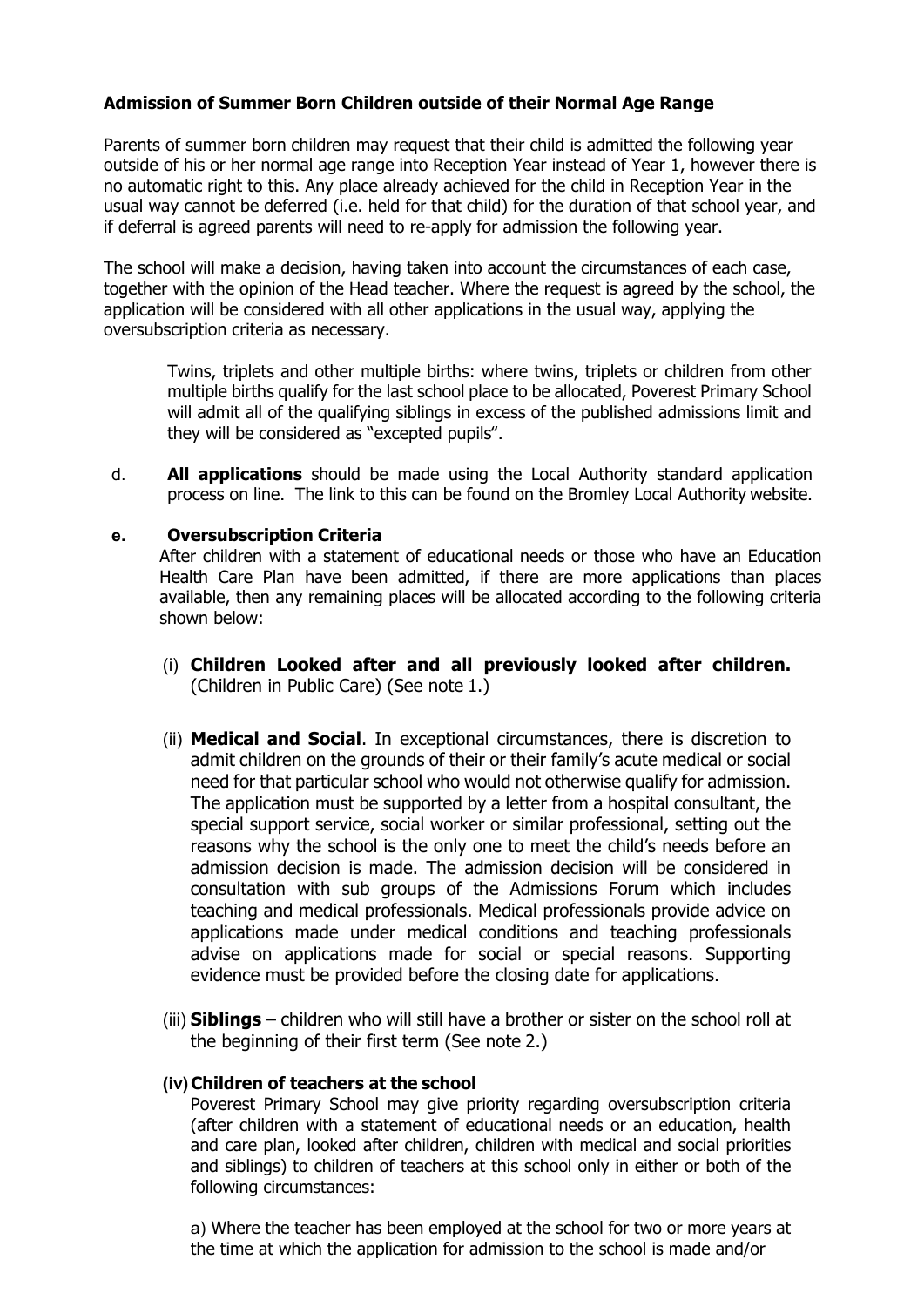## **Admission of Summer Born Children outside of their Normal Age Range**

Parents of summer born children may request that their child is admitted the following year outside of his or her normal age range into Reception Year instead of Year 1, however there is no automatic right to this. Any place already achieved for the child in Reception Year in the usual way cannot be deferred (i.e. held for that child) for the duration of that school year, and if deferral is agreed parents will need to re-apply for admission the following year.

The school will make a decision, having taken into account the circumstances of each case, together with the opinion of the Head teacher. Where the request is agreed by the school, the application will be considered with all other applications in the usual way, applying the oversubscription criteria as necessary.

Twins, triplets and other multiple births: where twins, triplets or children from other multiple births qualify for the last school place to be allocated, Poverest Primary School will admit all of the qualifying siblings in excess of the published admissions limit and they will be considered as "excepted pupils".

d. **All applications** should be made using the Local Authority standard application process on line. The link to this can be found on the Bromley Local Authority website.

#### **e. Oversubscription Criteria**

After children with a statement of educational needs or those who have an Education Health Care Plan have been admitted, if there are more applications than places available, then any remaining places will be allocated according to the following criteria shown below:

- (i) **Children Looked after and all previously looked after children.** (Children in Public Care) (See note 1.)
- (ii) **Medical and Social**. In exceptional circumstances, there is discretion to admit children on the grounds of their or their family's acute medical or social need for that particular school who would not otherwise qualify for admission. The application must be supported by a letter from a hospital consultant, the special support service, social worker or similar professional, setting out the reasons why the school is the only one to meet the child's needs before an admission decision is made. The admission decision will be considered in consultation with sub groups of the Admissions Forum which includes teaching and medical professionals. Medical professionals provide advice on applications made under medical conditions and teaching professionals advise on applications made for social or special reasons. Supporting evidence must be provided before the closing date for applications.
- (iii) **Siblings** children who will still have a brother or sister on the school roll at the beginning of their first term (See note 2.)

#### **(iv) Children of teachers at the school**

Poverest Primary School may give priority regarding oversubscription criteria (after children with a statement of educational needs or an education, health and care plan, looked after children, children with medical and social priorities and siblings) to children of teachers at this school only in either or both of the following circumstances:

a) Where the teacher has been employed at the school for two or more years at the time at which the application for admission to the school is made and/or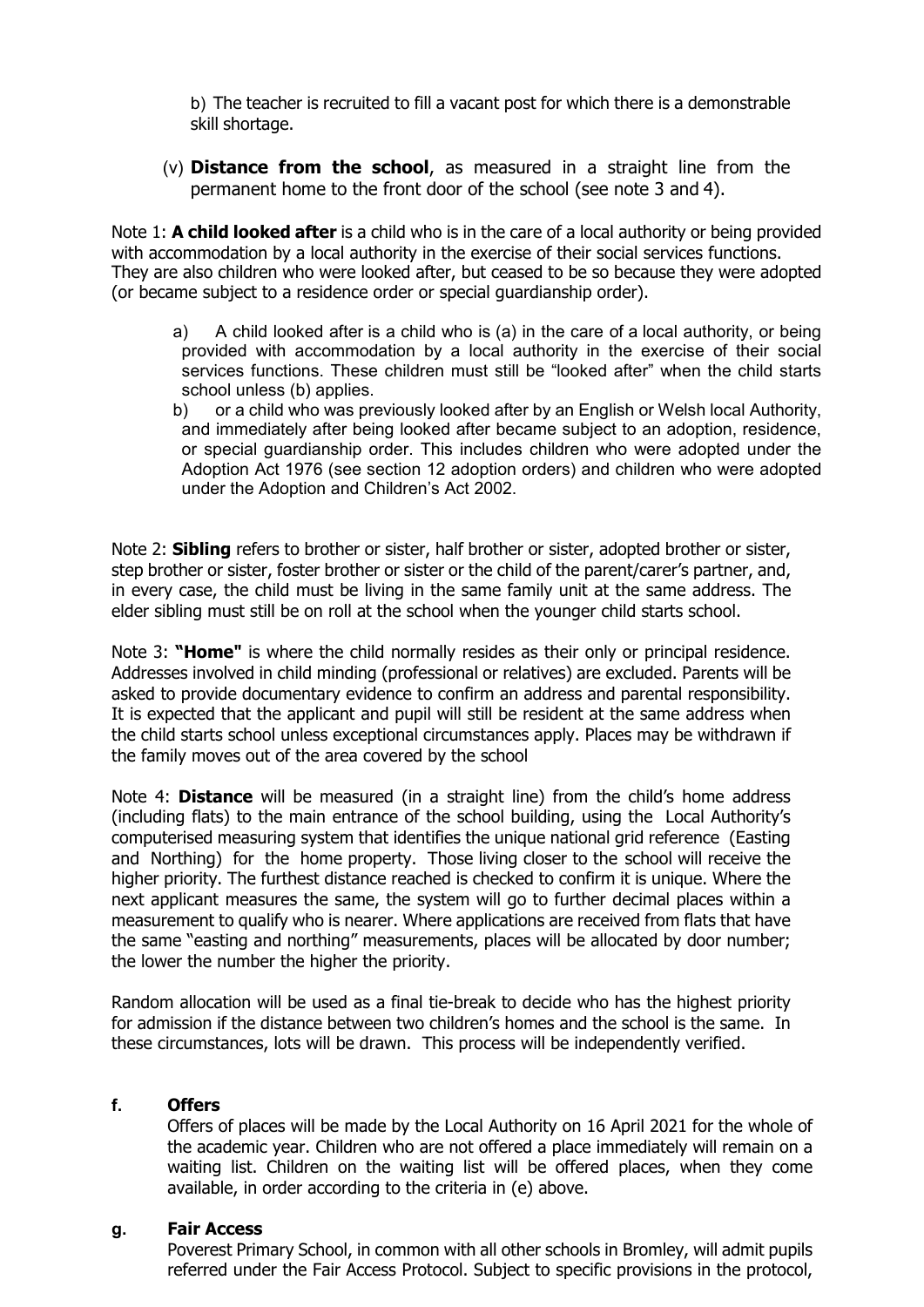b) The teacher is recruited to fill a vacant post for which there is a demonstrable skill shortage.

(v) **Distance from the school**, as measured in a straight line from the permanent home to the front door of the school (see note 3 and 4).

Note 1: **A child looked after** is a child who is in the care of a local authority or being provided with accommodation by a local authority in the exercise of their social services functions. They are also children who were looked after, but ceased to be so because they were adopted (or became subject to a residence order or special guardianship order).

- a) A child looked after is a child who is (a) in the care of a local authority, or being provided with accommodation by a local authority in the exercise of their social services functions. These children must still be "looked after" when the child starts school unless (b) applies.
- b) or a child who was previously looked after by an English or Welsh local Authority, and immediately after being looked after became subject to an adoption, residence, or special guardianship order. This includes children who were adopted under the Adoption Act 1976 (see section 12 adoption orders) and children who were adopted under the Adoption and Children's Act 2002.

Note 2: **Sibling** refers to brother or sister, half brother or sister, adopted brother or sister, step brother or sister, foster brother or sister or the child of the parent/carer's partner, and, in every case, the child must be living in the same family unit at the same address. The elder sibling must still be on roll at the school when the younger child starts school.

Note 3: **"Home"** is where the child normally resides as their only or principal residence. Addresses involved in child minding (professional or relatives) are excluded. Parents will be asked to provide documentary evidence to confirm an address and parental responsibility. It is expected that the applicant and pupil will still be resident at the same address when the child starts school unless exceptional circumstances apply. Places may be withdrawn if the family moves out of the area covered by the school

Note 4: **Distance** will be measured (in a straight line) from the child's home address (including flats) to the main entrance of the school building, using the Local Authority's computerised measuring system that identifies the unique national grid reference (Easting and Northing) for the home property. Those living closer to the school will receive the higher priority. The furthest distance reached is checked to confirm it is unique. Where the next applicant measures the same, the system will go to further decimal places within a measurement to qualify who is nearer. Where applications are received from flats that have the same "easting and northing" measurements, places will be allocated by door number; the lower the number the higher the priority.

Random allocation will be used as a final tie-break to decide who has the highest priority for admission if the distance between two children's homes and the school is the same. In these circumstances, lots will be drawn. This process will be independently verified.

#### **f. Offers**

Offers of places will be made by the Local Authority on 16 April 2021 for the whole of the academic year. Children who are not offered a place immediately will remain on a waiting list. Children on the waiting list will be offered places, when they come available, in order according to the criteria in (e) above.

#### **g. Fair Access**

Poverest Primary School, in common with all other schools in Bromley, will admit pupils referred under the Fair Access Protocol. Subject to specific provisions in the protocol,